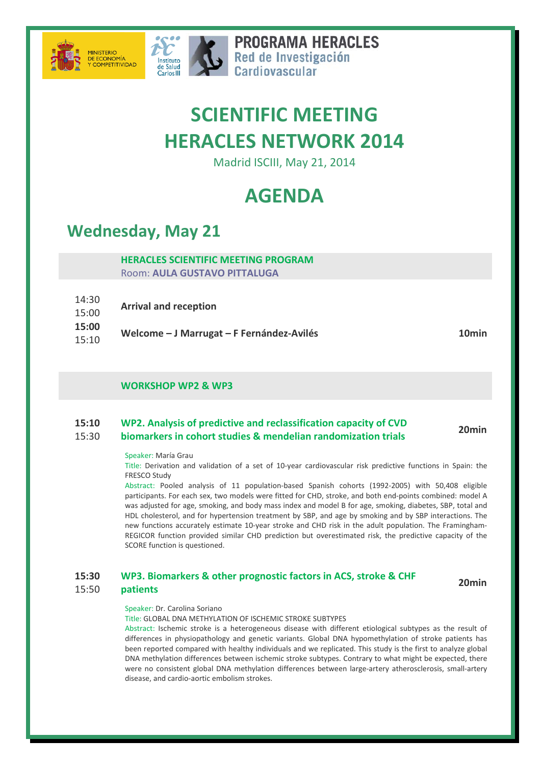



**PROGRAMA HERACLES** Red de Investigación Cardiovascular

# **SCIENTIFIC MEETING HERACLES NETWORK 2014**

Madrid ISCIII, May 21, 2014

# **AGENDA**

### **Wednesday, May 21**

#### **HERACLES SCIENTIFIC MEETING PROGRAM** Room: **AULA GUSTAVO PITTALUGA**

- 14:30 15:00 **Arrival and reception**
- **15:00**
- 15:10 **Welcome – J Marrugat – F Fernández-Avilés 10min**

### **WORKSHOP WP2 & WP3**

#### **15:10** 15:30 **WP2. Analysis of predictive and reclassification capacity of CVD biomarkers in cohort studies & mendelian randomization trials 20min**

#### Speaker: María Grau

Title: Derivation and validation of a set of 10-year cardiovascular risk predictive functions in Spain: the FRESCO Study

Abstract: Pooled analysis of 11 population-based Spanish cohorts (1992-2005) with 50,408 eligible participants. For each sex, two models were fitted for CHD, stroke, and both end-points combined: model A was adjusted for age, smoking, and body mass index and model B for age, smoking, diabetes, SBP, total and HDL cholesterol, and for hypertension treatment by SBP, and age by smoking and by SBP interactions. The new functions accurately estimate 10-year stroke and CHD risk in the adult population. The Framingham-REGICOR function provided similar CHD prediction but overestimated risk, the predictive capacity of the SCORE function is questioned.

**15:30 WP3. Biomarkers & other prognostic factors in ACS, stroke & CHF patients 20min**

#### 15:50

#### Speaker: Dr. Carolina Soriano

Title: GLOBAL DNA METHYLATION OF ISCHEMIC STROKE SUBTYPES

Abstract: Ischemic stroke is a heterogeneous disease with different etiological subtypes as the result of differences in physiopathology and genetic variants. Global DNA hypomethylation of stroke patients has been reported compared with healthy individuals and we replicated. This study is the first to analyze global DNA methylation differences between ischemic stroke subtypes. Contrary to what might be expected, there were no consistent global DNA methylation differences between large-artery atherosclerosis, small-artery disease, and cardio-aortic embolism strokes.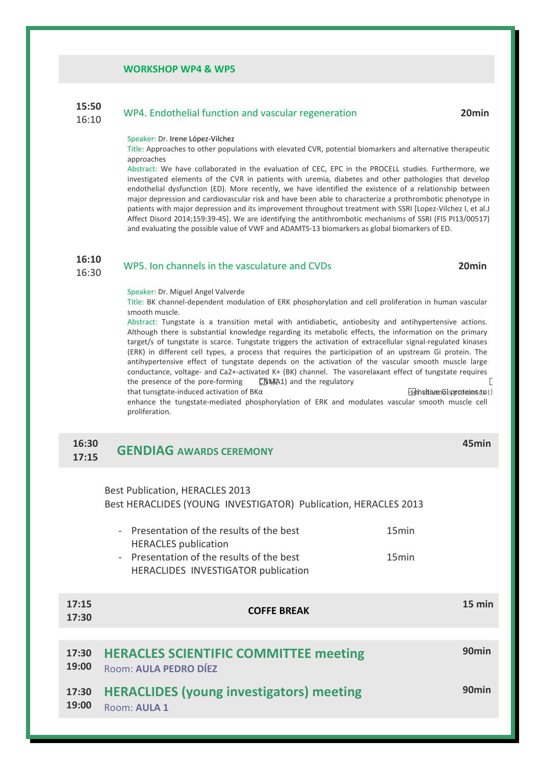#### **WORKSHOP WP4 & WP5**

#### **15:50** 15:50 WP4. Endothelial function and vascular regeneration **20min**<br>16:10

#### Speaker: Dr. Irene López-Vilchez

Title: Approaches to other populations with elevated CVR, potential biomarkers and alternative therapeutic approaches

Abstract: We have collaborated in the evaluation of CEC, EPC in the PROCELL studies. Furthermore, we investigated elements of the CVR in patients with uremia, diabetes and other pathologies that develop endothelial dysfunction (ED). More recently, we have identified the existence of a relationship between major depression and cardiovascular risk and have been able to characterize a prothrombotic phenotype in patients with major depression and its improvement throughout treatment with SSRI [Lopez-Vilchez I, et al.J Affect Disord 2014;159:39-45]. We are identifying the antithrombotic mechanisms of SSRI (FIS PI13/00517) and evaluating the possible value of VWF and ADAMTS-13 biomarkers as global biomarkers of ED.

#### **16:10** 16:30 WP5. Ion channels in the vasculature and CVDs **20min**

#### Speaker: Dr. Miguel Angel Valverde

Title: BK channel-dependent modulation of ERK phosphorylation and cell proliferation in human vascular smooth muscle.

Abstract: Tungstate is a transition metal with antidiabetic, antiobesity and antihypertensive actions. Although there is substantial knowledge regarding its metabolic effects, the information on the primary target/s of tungstate is scarce. Tungstate triggers the activation of extracellular signal-regulated kinases (ERK) in different cell types, a process that requires the participation of an upstream Gi protein. The antihypertensive effect of tungstate depends on the activation of the vascular smooth muscle large conductance, voltage- and Ca2+-activated K+ (BK) channel. The vasorelaxant effect of tungstate requires the presence of the pore-forming **CNMA1**) and the regulatory

that tunsgtate-induced activation of  $B K \alpha$  -sensitive Gi proteins to 1 channels proteins to 1 channels proteins to 1 channels proteins to 1 channels proteins to 1 channels proteins to 1 channels proteins to 1 channels pr enhance the tungstate-mediated phosphorylation of ERK and modulates vascular smooth muscle cell proliferation.

#### **16:30 17:15 GENDIAG AWARDS CEREMONY**

### Best Publication, HERACLES 2013

Best HERACLIDES (YOUNG INVESTIGATOR) Publication, HERACLES 2013

| - Presentation of the results of the best | 15 <sub>min</sub> |
|-------------------------------------------|-------------------|
| <b>HERACLES</b> publication               |                   |
| - Presentation of the results of the best | 15 <sub>min</sub> |
| HERACLIDES INVESTIGATOR publication       |                   |
|                                           |                   |

| 17:15<br>17:30 | <b>COFFE BREAK</b>                                                    | $15 \text{ min}$  |
|----------------|-----------------------------------------------------------------------|-------------------|
|                |                                                                       |                   |
| 17:30<br>19:00 | <b>HERACLES SCIENTIFIC COMMITTEE meeting</b><br>Room: AULA PEDRO DÍEZ | 90 <sub>min</sub> |
| 17:30<br>19:00 | <b>HERACLIDES (young investigators) meeting</b><br>Room: AULA 1       | 90 <sub>min</sub> |

**45min**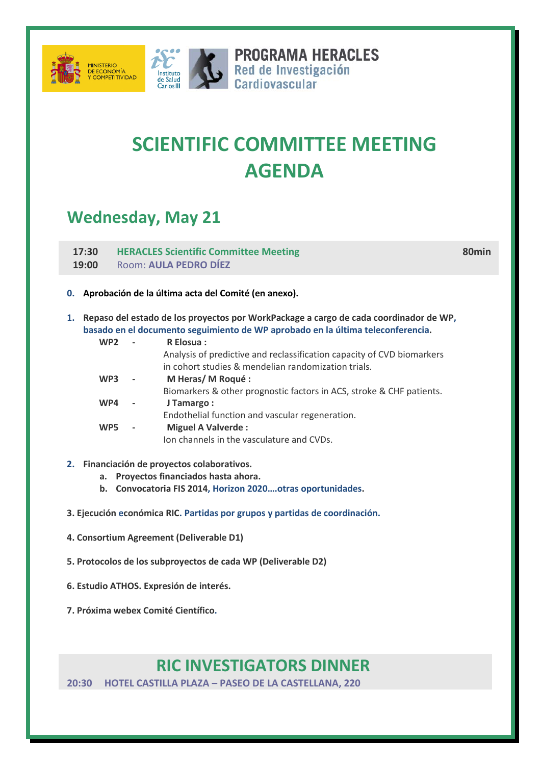



**PROGRAMA HERACLES SERIES PROGRAMA HERAC**<br>
Red de Investigación<br>
Cardiovascular

# **SCIENTIFIC COMMITTEE MEETING AGENDA**

## **Wednesday, May 21**

**17:30 19:00 HERACLES Scientific Committee Meeting** Room: **AULA PEDRO DÍEZ**

**80min**

- **0. Aprobación de la última acta del Comité (en anexo).**
- **1. Repaso del estado de los proyectos por WorkPackage a cargo de cada coordinador de WP, basado en el documento seguimiento de WP aprobado en la última teleconferencia.**

| WP <sub>2</sub> |                              | R Elosua:                                                              |
|-----------------|------------------------------|------------------------------------------------------------------------|
|                 |                              | Analysis of predictive and reclassification capacity of CVD biomarkers |
|                 |                              | in cohort studies & mendelian randomization trials.                    |
| WP <sub>3</sub> |                              | M Heras/M Roqué:                                                       |
|                 |                              | Biomarkers & other prognostic factors in ACS, stroke & CHF patients.   |
| WP4             |                              | J Tamargo:                                                             |
|                 |                              | Endothelial function and vascular regeneration.                        |
| WP <sub>5</sub> | $\qquad \qquad \blacksquare$ | <b>Miguel A Valverde:</b>                                              |
|                 |                              | Ion channels in the vasculature and CVDs.                              |
|                 |                              |                                                                        |

- **2. Financiación de proyectos colaborativos.** 
	- **a. Proyectos financiados hasta ahora.**
	- **b. Convocatoria FIS 2014, Horizon 2020….otras oportunidades.**
- **3. Ejecución económica RIC. Partidas por grupos y partidas de coordinación.**
- **4. Consortium Agreement (Deliverable D1)**
- **5. Protocolos de los subproyectos de cada WP (Deliverable D2)**
- **6. Estudio ATHOS. Expresión de interés.**
- **7. Próxima webex Comité Científico.**

### **RIC INVESTIGATORS DINNER**

**20:30 HOTEL CASTILLA PLAZA – PASEO DE LA CASTELLANA, 220**